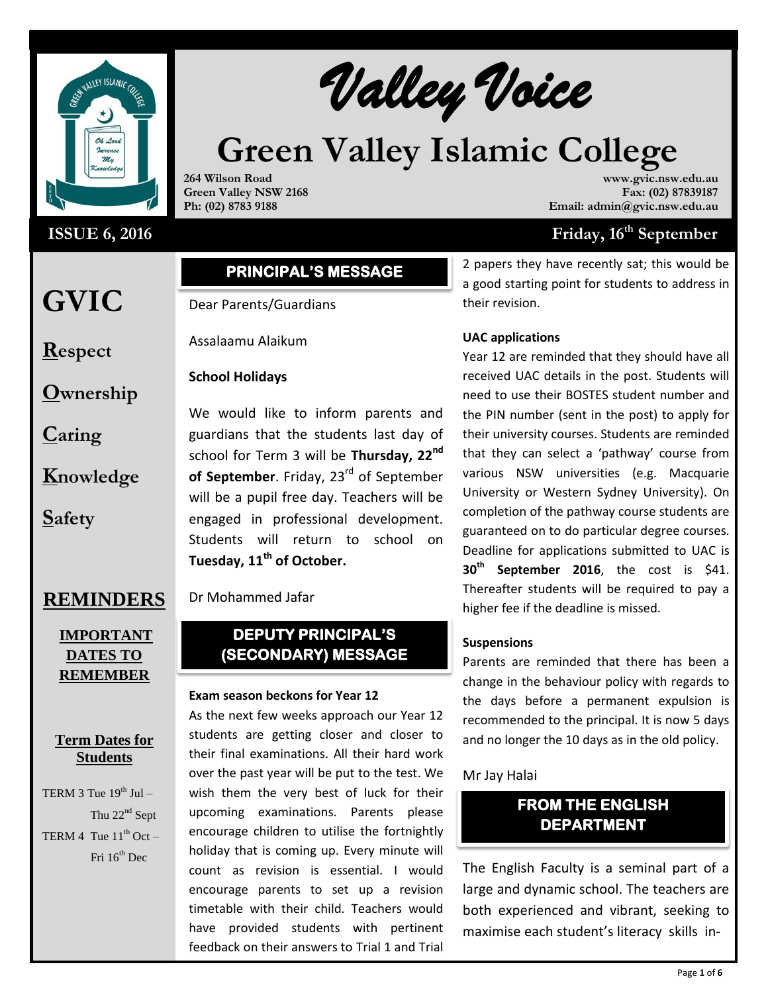

# **ISSUE 6, 2016**

# Walley Voice

# **Green Valley Islamic College**

**264 Wilson Road Green Valley NSW 2168 Ph: (02) 8783 9188**

**www.gvic.nsw.edu.au Fax: (02) 87839187 Email: admin@gvic.nsw.edu.au**

# **Friday, 16<sup>th</sup> September**

# **PRINCIPAL'S MESSAGE**

Dear Parents/Guardians

Assalaamu Alaikum

#### **School Holidays**

**Ownership**

**GVIC** 

**Respect**

**Caring**

**Knowledge**

**Safety**

We would like to inform parents and guardians that the students last day of school for Term 3 will be **Thursday, 22nd** of September. Friday, 23<sup>rd</sup> of September will be a pupil free day. Teachers will be engaged in professional development. Students will return to school on **Tuesday, 11th of October.**

# **REMINDERS**

# **IMPORTANT DATES TO REMEMBER**

# **Term Dates for Students**

TERM 3 Tue  $19^{th}$  Jul – Thu  $22<sup>nd</sup>$  Sept TERM 4 Tue  $11^{th}$  Oct – Fri  $16^{th}$  Dec

# Dr Mohammed Jafar

# **DEPUTY PRINCIPAL'S (SECONDARY) MESSAGE**

#### **Exam season beckons for Year 12**

As the next few weeks approach our Year 12 students are getting closer and closer to their final examinations. All their hard work over the past year will be put to the test. We wish them the very best of luck for their upcoming examinations. Parents please encourage children to utilise the fortnightly holiday that is coming up. Every minute will count as revision is essential. I would encourage parents to set up a revision timetable with their child. Teachers would have provided students with pertinent feedback on their answers to Trial 1 and Trial

2 papers they have recently sat; this would be a good starting point for students to address in their revision.

## **UAC applications**

Year 12 are reminded that they should have all received UAC details in the post. Students will need to use their BOSTES student number and the PIN number (sent in the post) to apply for their university courses. Students are reminded that they can select a 'pathway' course from various NSW universities (e.g. Macquarie University or Western Sydney University). On completion of the pathway course students are guaranteed on to do particular degree courses. Deadline for applications submitted to UAC is **30th September 2016**, the cost is \$41. Thereafter students will be required to pay a higher fee if the deadline is missed.

#### **Suspensions**

Parents are reminded that there has been a change in the behaviour policy with regards to the days before a permanent expulsion is recommended to the principal. It is now 5 days and no longer the 10 days as in the old policy.

# Mr Jay Halai

# **FROM THE ENGLISH DEPARTMENT**

The English Faculty is a seminal part of a large and dynamic school. The teachers are both experienced and vibrant, seeking to maximise each student's literacy skills in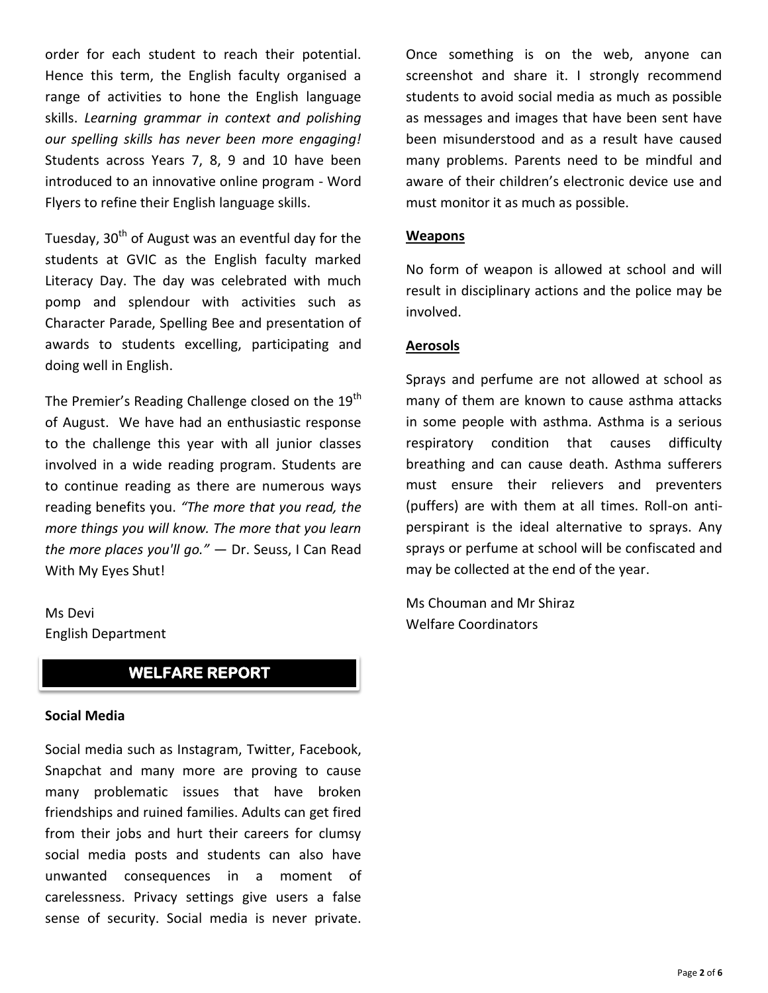order for each student to reach their potential. Hence this term, the English faculty organised a range of activities to hone the English language skills. *Learning grammar in context and polishing our spelling skills has never been more engaging!*  Students across Years 7, 8, 9 and 10 have been introduced to an innovative online program - Word Flyers to refine their English language skills.

Tuesday,  $30<sup>th</sup>$  of August was an eventful day for the students at GVIC as the English faculty marked Literacy Day. The day was celebrated with much pomp and splendour with activities such as Character Parade, Spelling Bee and presentation of awards to students excelling, participating and doing well in English.

The Premier's Reading Challenge closed on the 19<sup>th</sup> of August. We have had an enthusiastic response to the challenge this year with all junior classes involved in a wide reading program. Students are to continue reading as there are numerous ways reading benefits you. *"The more that you read, the more things you will know. The more that you learn the more places you'll go."* ― Dr. Seuss, I Can Read With My Eyes Shut!

Ms Devi English Department

# **WELFARE REPORT**

#### **Social Media**

Social media such as Instagram, Twitter, Facebook, Snapchat and many more are proving to cause many problematic issues that have broken friendships and ruined families. Adults can get fired from their jobs and hurt their careers for clumsy social media posts and students can also have unwanted consequences in a moment of carelessness. Privacy settings give users a false sense of security. Social media is never private.

Once something is on the web, anyone can screenshot and share it. I strongly recommend students to avoid social media as much as possible as messages and images that have been sent have been misunderstood and as a result have caused many problems. Parents need to be mindful and aware of their children's electronic device use and must monitor it as much as possible.

#### **Weapons**

No form of weapon is allowed at school and will result in disciplinary actions and the police may be involved.

#### **Aerosols**

Sprays and perfume are not allowed at school as many of them are known to cause asthma attacks in some people with asthma. Asthma is a serious respiratory condition that causes difficulty breathing and can cause death. Asthma sufferers must ensure their relievers and preventers (puffers) are with them at all times. Roll-on antiperspirant is the ideal alternative to sprays. Any sprays or perfume at school will be confiscated and may be collected at the end of the year.

Ms Chouman and Mr Shiraz Welfare Coordinators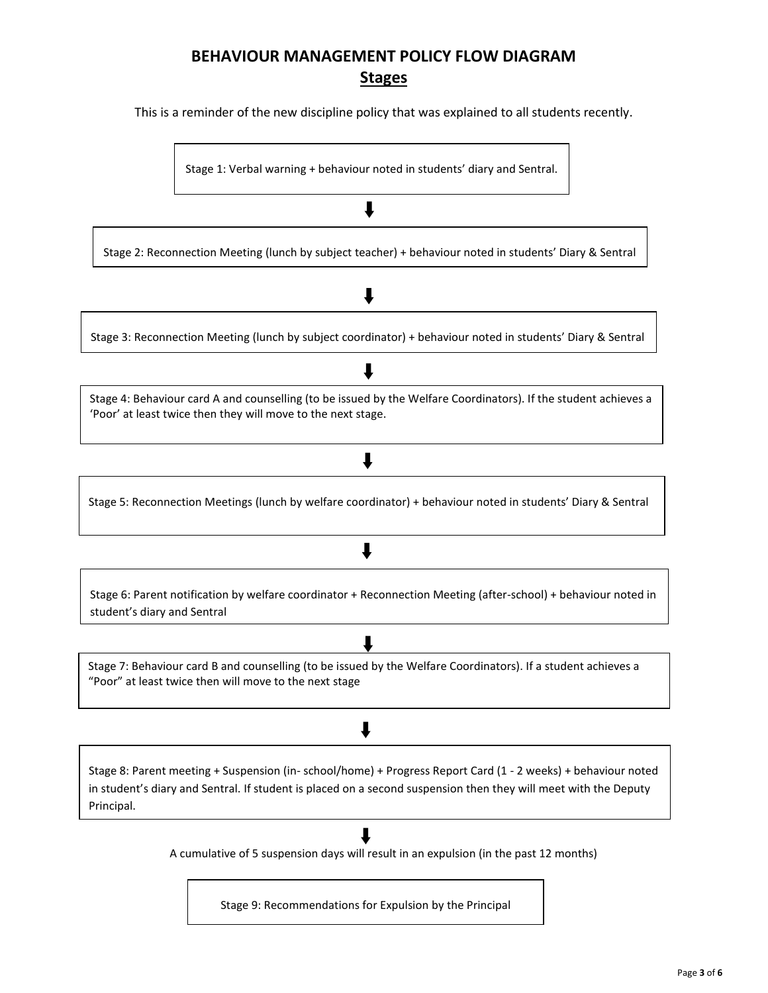# **BEHAVIOUR MANAGEMENT POLICY FLOW DIAGRAM Stages**

This is a reminder of the new discipline policy that was explained to all students recently.

Stage 1: Verbal warning + behaviour noted in students' diary and Sentral.

Stage 2: Reconnection Meeting (lunch by subject teacher) + behaviour noted in students' Diary & Sentral *Reconnection Meeting In-School Report for student to complete.*

l

# Л

Stage 3: Reconnection Meeting (lunch by subject coordinator) + behaviour noted in students' Diary & Sentral

# ┸

*+teacher issues a Reconnection Meeting In-School Report for student to complete.*

Stage 4: Behaviour card A and counselling (to be issued by the Welfare Coordinators). If the student achieves a 'Poor' at least twice then they will move to the next stage.

# J

Stage 5: Reconnection Meetings (lunch by welfare coordinator) + behaviour noted in students' Diary & Sentral

# ↓

Stage 6: Parent notification by welfare coordinator + Reconnection Meeting (after-school) + behaviour noted in student's diary and Sentral

Stage 7: Behaviour card B and counselling (to be issued by the Welfare Coordinators). If a student achieves a "Poor" at least twice then will move to the next stage

# J

Stage 8: Parent meeting + Suspension (in- school/home) + Progress Report Card (1 - 2 weeks) + behaviour noted in student's diary and Sentral. If student is placed on a second suspension then they will meet with the Deputy Principal.

# $\mathbf{I}$

A cumulative of 5 suspension days will result in an expulsion (in the past 12 months)

Stage 9: Recommendations for Expulsion by the Principal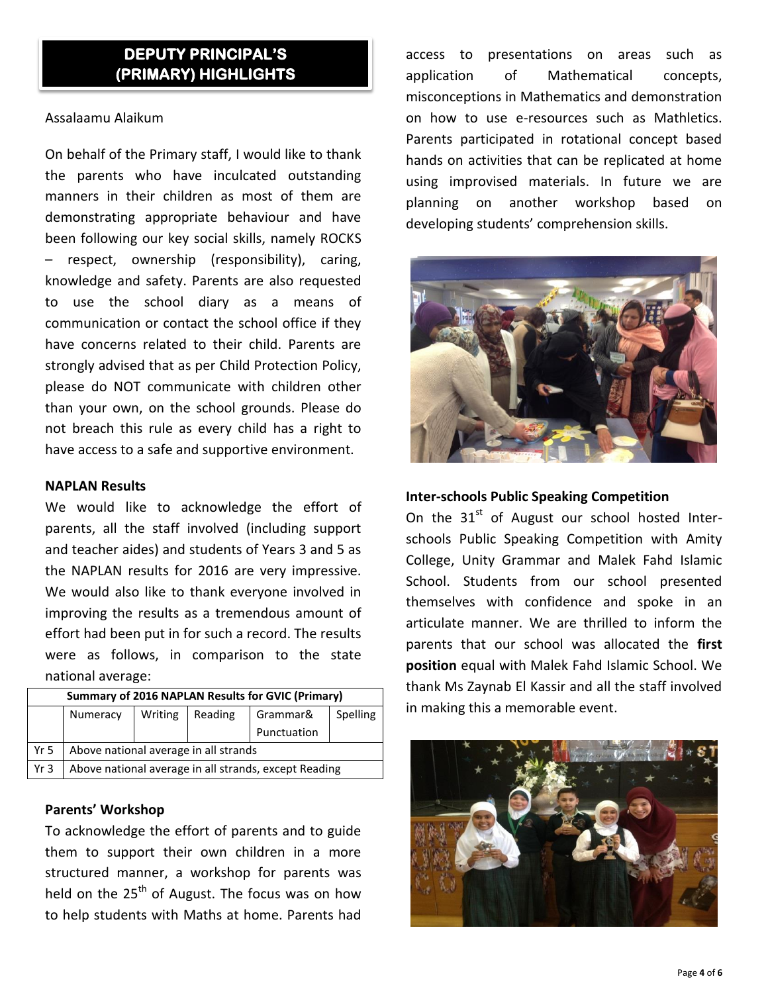# **DEPUTY PRINCIPAL'S (PRIMARY) HIGHLIGHTS**

#### Assalaamu Alaikum

On behalf of the Primary staff, I would like to thank the parents who have inculcated outstanding manners in their children as most of them are demonstrating appropriate behaviour and have been following our key social skills, namely ROCKS – respect, ownership (responsibility), caring, knowledge and safety. Parents are also requested to use the school diary as a means of communication or contact the school office if they have concerns related to their child. Parents are strongly advised that as per Child Protection Policy, please do NOT communicate with children other than your own, on the school grounds. Please do not breach this rule as every child has a right to have access to a safe and supportive environment.

## **NAPLAN Results**

We would like to acknowledge the effort of parents, all the staff involved (including support and teacher aides) and students of Years 3 and 5 as the NAPLAN results for 2016 are very impressive. We would also like to thank everyone involved in improving the results as a tremendous amount of effort had been put in for such a record. The results were as follows, in comparison to the state national average:

| <b>Summary of 2016 NAPLAN Results for GVIC (Primary)</b> |                                                       |         |         |             |          |
|----------------------------------------------------------|-------------------------------------------------------|---------|---------|-------------|----------|
|                                                          | Numeracy                                              | Writing | Reading | Grammar&    | Spelling |
|                                                          |                                                       |         |         | Punctuation |          |
| Yr 5                                                     | Above national average in all strands                 |         |         |             |          |
| Yr <sub>3</sub>                                          | Above national average in all strands, except Reading |         |         |             |          |
|                                                          |                                                       |         |         |             |          |

# **Parents' Workshop**

To acknowledge the effort of parents and to guide them to support their own children in a more structured manner, a workshop for parents was held on the  $25<sup>th</sup>$  of August. The focus was on how to help students with Maths at home. Parents had

access to presentations on areas such as application of Mathematical concepts, misconceptions in Mathematics and demonstration on how to use e-resources such as Mathletics. Parents participated in rotational concept based hands on activities that can be replicated at home using improvised materials. In future we are planning on another workshop based on developing students' comprehension skills.



## **Inter-schools Public Speaking Competition**

On the  $31<sup>st</sup>$  of August our school hosted Interschools Public Speaking Competition with Amity College, Unity Grammar and Malek Fahd Islamic School. Students from our school presented themselves with confidence and spoke in an articulate manner. We are thrilled to inform the parents that our school was allocated the **first position** equal with Malek Fahd Islamic School. We thank Ms Zaynab El Kassir and all the staff involved in making this a memorable event.

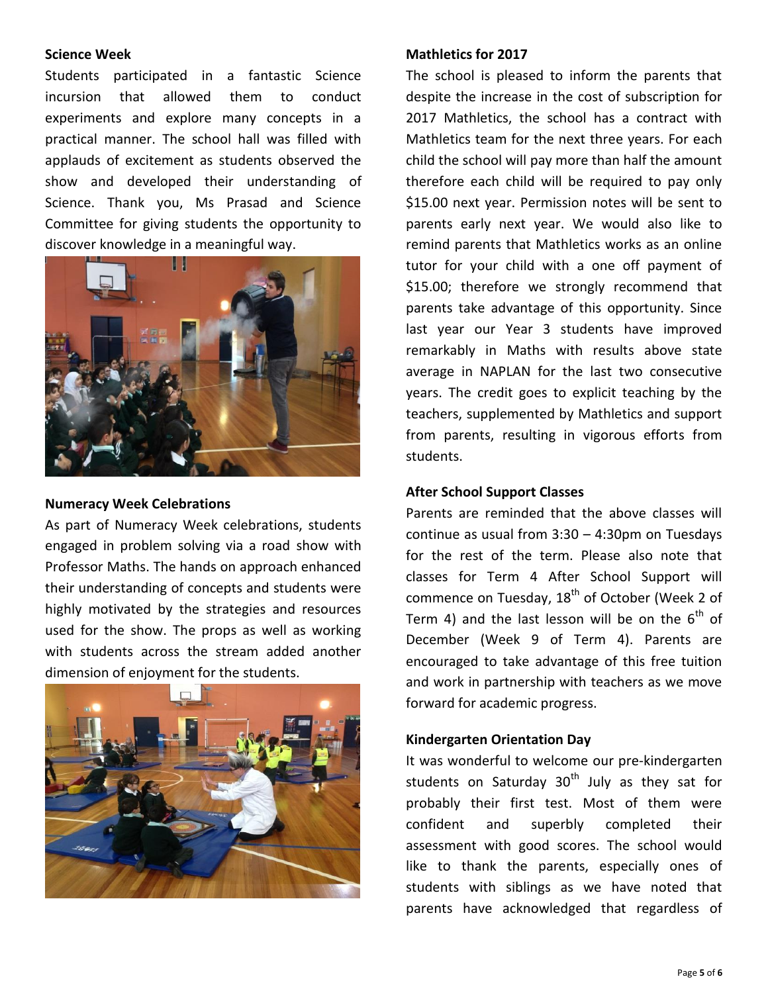#### **Science Week**

Students participated in a fantastic Science incursion that allowed them to conduct experiments and explore many concepts in a practical manner. The school hall was filled with applauds of excitement as students observed the show and developed their understanding of Science. Thank you, Ms Prasad and Science Committee for giving students the opportunity to discover knowledge in a meaningful way.



#### **Numeracy Week Celebrations**

As part of Numeracy Week celebrations, students engaged in problem solving via a road show with Professor Maths. The hands on approach enhanced their understanding of concepts and students were highly motivated by the strategies and resources used for the show. The props as well as working with students across the stream added another dimension of enjoyment for the students.



#### **Mathletics for 2017**

The school is pleased to inform the parents that despite the increase in the cost of subscription for 2017 Mathletics, the school has a contract with Mathletics team for the next three years. For each child the school will pay more than half the amount therefore each child will be required to pay only \$15.00 next year. Permission notes will be sent to parents early next year. We would also like to remind parents that Mathletics works as an online tutor for your child with a one off payment of \$15.00; therefore we strongly recommend that parents take advantage of this opportunity. Since last year our Year 3 students have improved remarkably in Maths with results above state average in NAPLAN for the last two consecutive years. The credit goes to explicit teaching by the teachers, supplemented by Mathletics and support from parents, resulting in vigorous efforts from students.

#### **After School Support Classes**

Parents are reminded that the above classes will continue as usual from 3:30 – 4:30pm on Tuesdays for the rest of the term. Please also note that classes for Term 4 After School Support will commence on Tuesday,  $18<sup>th</sup>$  of October (Week 2 of Term 4) and the last lesson will be on the  $6<sup>th</sup>$  of December (Week 9 of Term 4). Parents are encouraged to take advantage of this free tuition and work in partnership with teachers as we move forward for academic progress.

#### **Kindergarten Orientation Day**

It was wonderful to welcome our pre-kindergarten students on Saturday  $30<sup>th</sup>$  July as they sat for probably their first test. Most of them were confident and superbly completed their assessment with good scores. The school would like to thank the parents, especially ones of students with siblings as we have noted that parents have acknowledged that regardless of